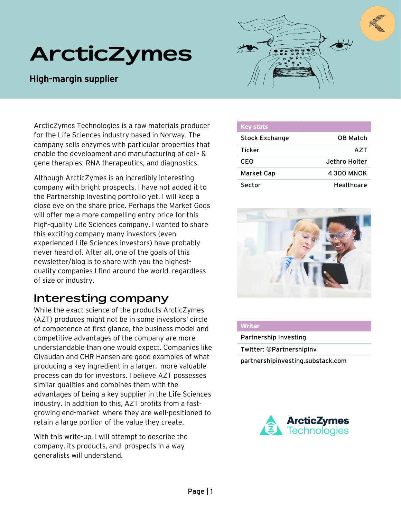# **ArcticZymes**

### High-margin supplier

ArcticZymes Technologies is a raw materials producer for the Life Sciences industry based in Norway. The company sells enzymes with particular properties that enable the development and manufacturing of cell- & gene therapies, RNA therapeutics, and diagnostics.

Although ArcticZymes is an incredibly interesting company with bright prospects, I have not added it to the Partnership Investing portfolio yet. I will keep a close eye on the share price. Perhaps the Market Gods will offer me a more compelling entry price for this high-quality Life Sciences company. I wanted to share this exciting company many investors (even experienced Life Sciences investors) have probably never heard of. After all, one of the goals of this newsletter/blog is to share with you the highestquality companies I find around the world, regardless of size or industry.

## **Interesting company**

While the exact science of the products ArcticZymes (AZT) produces might not be in some investors' circle of competence at first glance, the business model and competitive advantages of the company are more understandable than one would expect. Companies like Givaudan and CHR Hansen are good examples of what producing a key ingredient in a larger, more valuable process can do for investors. I believe AZT possesses similar qualities and combines them with the advantages of being a key supplier in the Life Sciences industry. In addition to this, AZT profits from a fastgrowing end-market where they are well-positioned to retain a large portion of the value they create.

With this write-up, I will attempt to describe the company, its products, and prospects in a way generalists will understand.



| <b>Key stats</b>      |                 |
|-----------------------|-----------------|
| <b>Stock Exchange</b> | <b>OB Match</b> |
| <b>Ticker</b>         | A7T             |
| CEO                   | Jethro Holter   |
| <b>Market Cap</b>     | 4300 MNOK       |
| Sector                | Healthcare      |



#### **Writer**

Partnership Investing Twitter: @PartnershipInv partnershipinvesting.substack.com

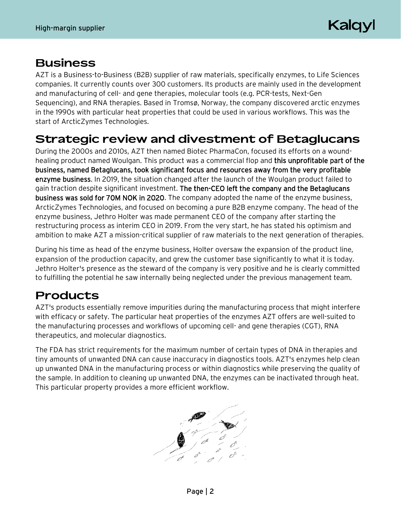Kalgyl

## **Business**

AZT is a Business-to-Business (B2B) supplier of raw materials, specifically enzymes, to Life Sciences companies. It currently counts over 300 customers. Its products are mainly used in the development and manufacturing of cell- and gene therapies, molecular tools (e.g. PCR-tests, Next-Gen Sequencing), and RNA therapies. Based in Tromsø, Norway, the company discovered arctic enzymes in the 1990s with particular heat properties that could be used in various workflows. This was the start of ArcticZymes Technologies.

## **Strategic review and divestment of Betaglucans**

During the 2000s and 2010s, AZT then named Biotec PharmaCon, focused its efforts on a woundhealing product named Woulgan. This product was a commercial flop and this unprofitable part of the business, named Betaglucans, took significant focus and resources away from the very profitable enzyme business. In 2019, the situation changed after the launch of the Woulgan product failed to gain traction despite significant investment. The then-CEO left the company and the Betaglucans business was sold for 70M NOK in 2020. The company adopted the name of the enzyme business, ArcticZymes Technologies, and focused on becoming a pure B2B enzyme company. The head of the enzyme business, Jethro Holter was made permanent CEO of the company after starting the restructuring process as interim CEO in 2019. From the very start, he has stated his optimism and ambition to make AZT a mission-critical supplier of raw materials to the next generation of therapies.

During his time as head of the enzyme business, Holter oversaw the expansion of the product line, expansion of the production capacity, and grew the customer base significantly to what it is today. Jethro Holter's presence as the steward of the company is very positive and he is clearly committed to fulfilling the potential he saw internally being neglected under the previous management team.

## **Products**

AZT's products essentially remove impurities during the manufacturing process that might interfere with efficacy or safety. The particular heat properties of the enzymes AZT offers are well-suited to the manufacturing processes and workflows of upcoming cell- and gene therapies (CGT), RNA therapeutics, and molecular diagnostics.

The FDA has strict requirements for the maximum number of certain types of DNA in therapies and tiny amounts of unwanted DNA can cause inaccuracy in diagnostics tools. AZT's enzymes help clean up unwanted DNA in the manufacturing process or within diagnostics while preserving the quality of the sample. In addition to cleaning up unwanted DNA, the enzymes can be inactivated through heat. This particular property provides a more efficient workflow.

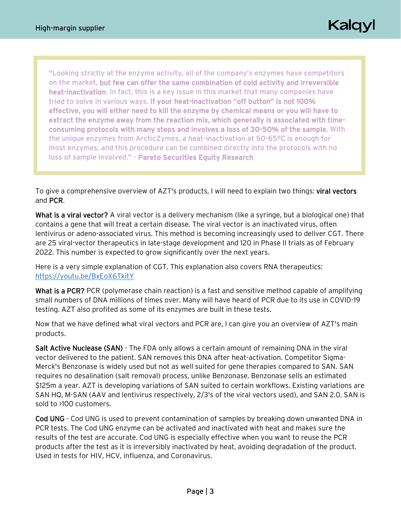Kalqyl

"Looking strictly at the enzyme activity, all of the company's enzymes have competitors on the market, but few can offer the same combination of cold activity and irreversible heat-inactivation. In fact, this is a key issue in this market that many companies have tried to solve in various ways. If your heat-inactivation "off button" is not 100% effective, you will either need to kill the enzyme by chemical means or you will have to extract the enzyme away from the reaction mix, which generally is associated with timeconsuming protocols with many steps and involves a loss of 30-50% of the sample. With the unique enzymes from ArcticZymes, a heat-inactivation at 50-65°C is enough for most enzymes, and this procedure can be combined directly into the protocols with no loss of sample involved." - Pareto Securities Equity Research

To give a comprehensive overview of AZT's products, I will need to explain two things: viral vectors and PCR.

What is a viral vector? A viral vector is a delivery mechanism (like a syringe, but a biological one) that contains a gene that will treat a certain disease. The viral vector is an inactivated virus, often lentivirus or adeno-associated virus. This method is becoming increasingly used to deliver CGT. There are 25 viral-vector therapeutics in late-stage development and 120 in Phase II trials as of February 2022. This number is expected to grow significantly over the next years.

Here is a very simple explanation of CGT. This explanation also covers RNA therapeutics: <https://youtu.be/BxEoX6TkitY>

What is a PCR? PCR (polymerase chain reaction) is a fast and sensitive method capable of amplifying small numbers of DNA millions of times over. Many will have heard of PCR due to its use in COVID-19 testing. AZT also profited as some of its enzymes are built in these tests.

Now that we have defined what viral vectors and PCR are, I can give you an overview of AZT's main products.

Salt Active Nuclease (SAN) - The FDA only allows a certain amount of remaining DNA in the viral vector delivered to the patient. SAN removes this DNA after heat-activation. Competitor Sigma-Merck's Benzonase is widely used but not as well suited for gene therapies compared to SAN. SAN requires no desalination (salt removal) process, unlike Benzonase. Benzonase sells an estimated \$125m a year. AZT is developing variations of SAN suited to certain workflows. Existing variations are SAN HQ, M-SAN (AAV and lentivirus respectively, 2/3's of the viral vectors used), and SAN 2.0. SAN is sold to >100 customers.

Cod UNG - Cod UNG is used to prevent contamination of samples by breaking down unwanted DNA in PCR tests. The Cod UNG enzyme can be activated and inactivated with heat and makes sure the results of the test are accurate. Cod UNG is especially effective when you want to reuse the PCR products after the test as it is irreversibly inactivated by heat, avoiding degradation of the product. Used in tests for HIV, HCV, influenza, and Coronavirus.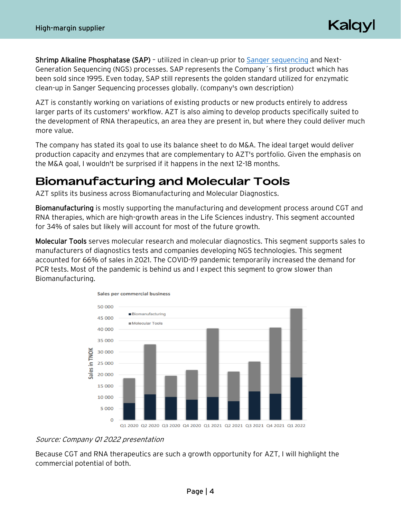Kalqyl

Shrimp Alkaline Phosphatase (SAP) – utilized in clean-up prior to [Sanger sequencing](https://en.wikipedia.org/wiki/Sanger_sequencing#:~:text=Sanger%20sequencing%20is%20a%20method,during%20in%20vitro%20DNA%20replication.) and Next-Generation Sequencing (NGS) processes. SAP represents the Company´s first product which has been sold since 1995. Even today, SAP still represents the golden standard utilized for enzymatic clean-up in Sanger Sequencing processes globally. (company's own description)

AZT is constantly working on variations of existing products or new products entirely to address larger parts of its customers' workflow. AZT is also aiming to develop products specifically suited to the development of RNA therapeutics, an area they are present in, but where they could deliver much more value.

The company has stated its goal to use its balance sheet to do M&A. The ideal target would deliver production capacity and enzymes that are complementary to AZT's portfolio. Given the emphasis on the M&A goal, I wouldn't be surprised if it happens in the next 12-18 months.

## **Biomanufacturing and Molecular Tools**

AZT splits its business across Biomanufacturing and Molecular Diagnostics.

Biomanufacturing is mostly supporting the manufacturing and development process around CGT and RNA therapies, which are high-growth areas in the Life Sciences industry. This segment accounted for 34% of sales but likely will account for most of the future growth.

Molecular Tools serves molecular research and molecular diagnostics. This segment supports sales to manufacturers of diagnostics tests and companies developing NGS technologies. This segment accounted for 66% of sales in 2021. The COVID-19 pandemic temporarily increased the demand for PCR tests. Most of the pandemic is behind us and I expect this segment to grow slower than Biomanufacturing.



### Source: Company Q1 2022 presentation

Because CGT and RNA therapeutics are such a growth opportunity for AZT, I will highlight the commercial potential of both.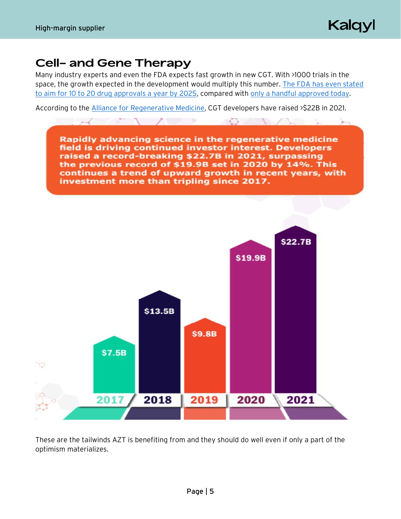Kalqyl

## **Cell- and Gene Therapy**

Many industry experts and even the FDA expects fast growth in new CGT. With >1000 trials in the space, the growth expected in the development would multiply this number. [The FDA has even stated](https://www.biopharmadive.com/news/fda-to-bulk-up-cell-and-gene-therapy-staff-growing-with-the-field/546176/)  [to aim for 10 to 20 drug approvals a year by 2025,](https://www.biopharmadive.com/news/fda-to-bulk-up-cell-and-gene-therapy-staff-growing-with-the-field/546176/) compared with [only a handful approved today.](https://www.fda.gov/vaccines-blood-biologics/cellular-gene-therapy-products/approved-cellular-and-gene-therapy-products)

According to the [Alliance for Regenerative Medicine,](http://alliancerm.org/wp-content/uploads/2022/03/ARM_AR2021_FINAL-singles.pdf) CGT developers have raised >\$22B in 2021.



These are the tailwinds AZT is benefiting from and they should do well even if only a part of the optimism materializes.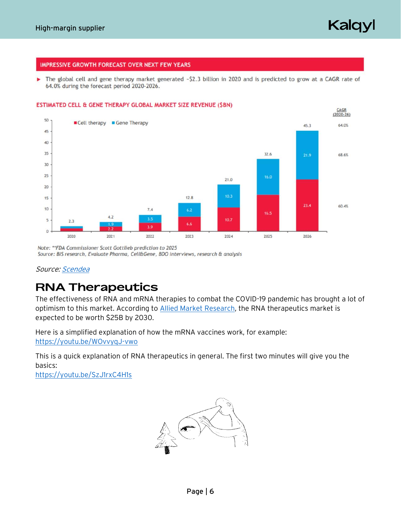Kalqyl

#### **IMPRESSIVE GROWTH FORECAST OVER NEXT FEW YEARS**

The global cell and gene therapy market generated -\$2.3 billion in 2020 and is predicted to grow at a CAGR rate of 64.0% during the forecast period 2020-2026.





Note: \*\*FDA Commissioner Scott Gottlieb prediction to 2025 Source: BIS research, Evaluate Pharma, Cell&Gene, BDO interviews, research & analysis

Source[: Scendea](https://static1.squarespace.com/static/5e146e2d43bfbc53ec197100/t/60941b44bc769868c4667b80/1620319046997/Life-Sciences-Cell-and-gene-therapy-report-BDO.pdf)

## **RNA Therapeutics**

The effectiveness of RNA and mRNA therapies to combat the COVID-19 pandemic has brought a lot of optimism to this market. According to [Allied Market Research,](https://www.alliedmarketresearch.com/rna-based-therapeutics-market) the RNA therapeutics market is expected to be worth \$25B by 2030.

Here is a simplified explanation of how the mRNA vaccines work, for example: <https://youtu.be/WOvvyqJ-vwo>

This is a quick explanation of RNA therapeutics in general. The first two minutes will give you the basics:

<https://youtu.be/SzJ1rxC4H1s>

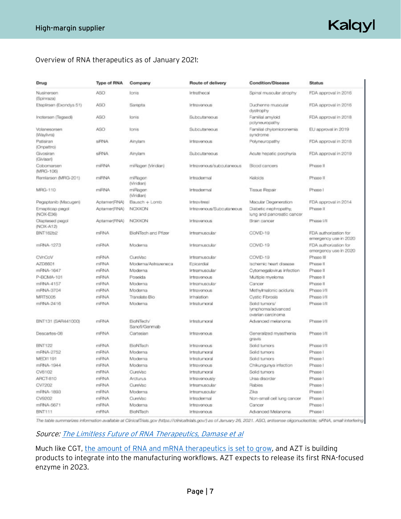## Kalqyl

### Overview of RNA therapeutics as of January 2021:

| Drug                         | <b>Type of RNA</b> | Company                    | Route of delivery        | <b>Condition/Disease</b>                                | <b>Status</b>                                  |  |
|------------------------------|--------------------|----------------------------|--------------------------|---------------------------------------------------------|------------------------------------------------|--|
| Nusinersen<br>(Spinraza)     | ASO                | lonis                      | Intrathecal              | Spinal muscular atrophy                                 | FDA approval in 2016                           |  |
| Eteplinsen (Exondys 51)      | <b>ASO</b>         | Sarepta                    | Intravenous              | Duchenne muscular<br>dystrophy                          | FDA approval in 2016                           |  |
| Inotersen (Tegsedi)          | ASO                | kanis                      | Subcutaneous             | Familial amyloid<br>polyneuropathy                      | FDA approval in 2018                           |  |
| Volanesorsen<br>(Waylivra)   | ASO                | lonis                      | Subcutaneous             | Familial chylomicronemia<br>syndrome                    | EU approval in 2019                            |  |
| Patisiran<br>(Onpattro)      | SIRNA              | Ainylam                    | Intravenous              | Polyneuropathy                                          | FDA approval in 2018.                          |  |
| Givosiran<br>(Givlaari)      | <b>SFINA</b>       | Ainylam                    | Subcutaneous             | Acute hepatic porphyria                                 | FDA approval in 2019                           |  |
| Cobomarsen<br>(MRG-106)      | miRNA              | miRagen (Vindian)          | Intravenous/subcutaneous | Blood cancers                                           | Phase II                                       |  |
| Remlarsen (MRG-201)          | miRNA              | miRagen<br>(Viridian)      | Intradermal              | Keloids                                                 | Phase II                                       |  |
| MRG-110                      | miRNA              | miRagen<br>(Viridian)      | Intrademaal              | <b>Tissue Repair</b>                                    | Phase I                                        |  |
| Pegaptanib (Macugen)         | Aptamer(RNA)       | Bausch + Lomb              | <b>Intravitreal</b>      | Macular Degeneration                                    | FDA approval in 2014                           |  |
| Emapticap pegol<br>(NOX-E36) | Aptamer(RNA)       | NCXXON                     | Intravenous/Subcutaneous | Diabetic nephropathy,<br>lung and pancreatic cancer     | Phase II                                       |  |
| Olaptesed pegol<br>(NOX-A12) | Aptamer(RNA)       | NOXXON                     | Intravenous              | Brain cancer                                            | Phase t/ll                                     |  |
| BNT162b2                     | <b>mRNA</b>        | BioNTech and Pfizer        | Intramuscular            | COVID-19                                                | FDA authorization for<br>emergency use in 2020 |  |
| mRNA-1273                    | mRNA               | Moderna                    | Intramuscular            | COVID-19                                                | FDA authorization for<br>emergency use in 2020 |  |
| CVnCoV                       | <b>mRNA</b>        | CureVac                    | Intramuscular            | COVID-19                                                | Phase III                                      |  |
| AZD8601                      | <b>mRNA</b>        | Moderna/Astrazeneca        | Epicardial               | Ischemic heart disease                                  | Phase II                                       |  |
| mRNA-1647                    | <b>mRNA</b>        | Moderna                    | Intramuscular            | Cytomegalovirus infection                               | Phase II                                       |  |
| P-BCMA-101                   | <b>mRNA</b>        | Poseida                    | Intravenous              | Multiple myeloma                                        | Phase II                                       |  |
| mRNA-4157                    | mRNA               | Moderna                    | Intramuscular            | Cancer                                                  | Phase II                                       |  |
| mRNA-3704                    | mRNA               | Moderna                    | Intravenous              | Methylmalonic aciduria                                  | Phase I/II                                     |  |
| <b>MRT5005</b>               | <b>mRNA</b>        | Translate Bio              | Inhalation               | Cystic Fibrosis                                         | Phase I/II                                     |  |
| mRNA-2416                    | mRNA               | Moderna                    | Intratumoral             | Solid tumors/<br>lymphoma/advanced<br>ovarian carcinoma | Phase I/II                                     |  |
| BNT131 (SAR441000)           | mRNA               | BioNTech/<br>Sanofi/Genmab | Intratumoral             | Advanced melanoma                                       | Phase I/II                                     |  |
| Descartes-08                 | <b>mRNA</b>        | Cartesian                  | Intravenous              | Generalized myasthenia<br>gravis                        | Phase I/II                                     |  |
| <b>BNT122</b>                | mFINA              | BioNTech                   | Intravenous              | Solid turnors                                           | Phase I/II                                     |  |
| mRNA-2752                    | <b>mRNA</b>        | Moderna                    | Intratumoral             | Solid turnors                                           | Phase I                                        |  |
| <b>MEDI1191</b>              | mRNA               | Moderna                    | Intratumoral             | Solid tumors                                            | Phase I                                        |  |
| mRNA-1944                    | mFINA              | Moderna                    | Intravenous              | Chikungunya infection                                   | Phase I                                        |  |
| CV8102                       | <b>mRNA</b>        | <b>CureVac</b>             | Intratumoral             | Solid tumors                                            | Phase I                                        |  |
| ARCT-810                     | <b>mRNA</b>        | Arcturus                   | Intravenously            | Liraa disorder                                          | Phase I                                        |  |
| CV7202                       | mRNA               | CureVac                    | Intramuscular            | Rabies                                                  | Phase I                                        |  |
| mRNA-1893                    | mRNA               | Moderna                    | Intramuscular            | Zika                                                    | Phase I                                        |  |
| CV9202                       | <b>mRNA</b>        | <b>CureVac</b>             | Intradermal              | Non-small cell lung cancer                              | Phase I                                        |  |
| mRNA-5671                    | mFINA              | Moderna                    | Intravenous              | Cancer                                                  | Phase I                                        |  |
| <b>BNT111</b>                | <b>mRNA</b>        | BioNTech                   | Intravenous              | Advanced Melanoma                                       | Phase I                                        |  |

The table summarizes information available at ClinicalTriats.gov (https://clinicaltrials.gov/) as of January 26, 2021. ASO, antisense oligonuoleotide; siRNA, small interfering

### Source[: The Limitless Future of RNA Therapeutics, Damase et al](https://www.frontiersin.org/articles/10.3389/fbioe.2021.628137/full#T1)

Much like CGT, [the amount of RNA and mRNA therapeutics is set to grow,](https://www.pharmaceutical-technology.com/analysis/mapping-the-rna-therapeutics-rd-landscape-in-2022/) and AZT is building products to integrate into the manufacturing workflows. AZT expects to release its first RNA-focused enzyme in 2023.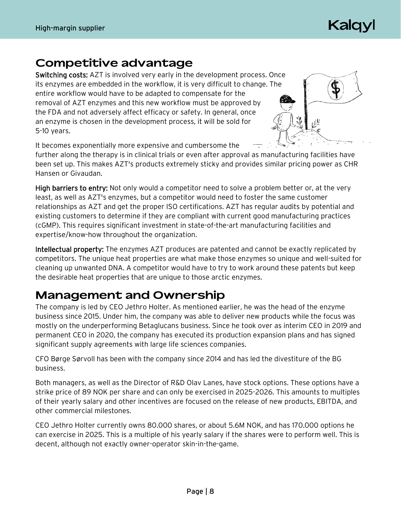## Kaldy

## **Competitive advantage**

Switching costs: AZT is involved very early in the development process. Once its enzymes are embedded in the workflow, it is very difficult to change. The entire workflow would have to be adapted to compensate for the removal of AZT enzymes and this new workflow must be approved by the FDA and not adversely affect efficacy or safety. In general, once an enzyme is chosen in the development process, it will be sold for 5-10 years.



It becomes exponentially more expensive and cumbersome the

further along the therapy is in clinical trials or even after approval as manufacturing facilities have been set up. This makes AZT's products extremely sticky and provides similar pricing power as CHR Hansen or Givaudan.

High barriers to entry: Not only would a competitor need to solve a problem better or, at the very least, as well as AZT's enzymes, but a competitor would need to foster the same customer relationships as AZT and get the proper ISO certifications. AZT has regular audits by potential and existing customers to determine if they are compliant with current good manufacturing practices (cGMP). This requires significant investment in state-of-the-art manufacturing facilities and expertise/know-how throughout the organization.

Intellectual property: The enzymes AZT produces are patented and cannot be exactly replicated by competitors. The unique heat properties are what make those enzymes so unique and well-suited for cleaning up unwanted DNA. A competitor would have to try to work around these patents but keep the desirable heat properties that are unique to those arctic enzymes.

## **Management and Ownership**

The company is led by CEO Jethro Holter. As mentioned earlier, he was the head of the enzyme business since 2015. Under him, the company was able to deliver new products while the focus was mostly on the underperforming Betaglucans business. Since he took over as interim CEO in 2019 and permanent CEO in 2020, the company has executed its production expansion plans and has signed significant supply agreements with large life sciences companies.

CFO Børge Sørvoll has been with the company since 2014 and has led the divestiture of the BG business.

Both managers, as well as the Director of R&D Olav Lanes, have stock options. These options have a strike price of 89 NOK per share and can only be exercised in 2025-2026. This amounts to multiples of their yearly salary and other incentives are focused on the release of new products, EBITDA, and other commercial milestones.

CEO Jethro Holter currently owns 80.000 shares, or about 5.6M NOK, and has 170.000 options he can exercise in 2025. This is a multiple of his yearly salary if the shares were to perform well. This is decent, although not exactly owner-operator skin-in-the-game.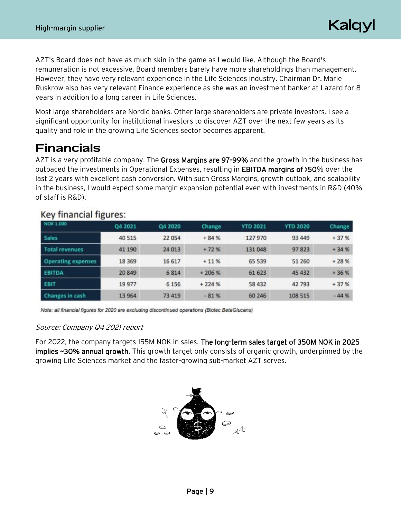Kalqyl

AZT's Board does not have as much skin in the game as I would like. Although the Board's remuneration is not excessive, Board members barely have more shareholdings than management. However, they have very relevant experience in the Life Sciences industry. Chairman Dr. Marie Ruskrow also has very relevant Finance experience as she was an investment banker at Lazard for 8 years in addition to a long career in Life Sciences.

Most large shareholders are Nordic banks. Other large shareholders are private investors. I see a significant opportunity for institutional investors to discover AZT over the next few years as its quality and role in the growing Life Sciences sector becomes apparent.

## **Financials**

AZT is a very profitable company. The Gross Margins are 97-99% and the growth in the business has outpaced the investments in Operational Expenses, resulting in EBITDA margins of >50% over the last 2 years with excellent cash conversion. With such Gross Margins, growth outlook, and scalability in the business, I would expect some margin expansion potential even with investments in R&D (40% of staff is R&D).

| NOK 1.000                 | Q4 2021  | Q4 2020 | Change  | <b>YTD 2021</b> | <b>YTD 2020</b> | Change |
|---------------------------|----------|---------|---------|-----------------|-----------------|--------|
| <b>Sales</b>              | 40 515   | 22 054  | $+84%$  | 127970          | 93 449          | $+37%$ |
| <b>Total revenues</b>     | 41 190   | 24 013  | $+72%$  | 131 048         | 97823           | $+34%$ |
| <b>Operating expenses</b> | 18 3 6 9 | 16 617  | $+11%$  | 65 539          | 51 260          | $+28%$ |
| <b>EBITDA</b>             | 20 849   | 6814    | $+206%$ | 61 623          | 45 432          | $+36%$ |
| <b>EBIT</b>               | 19 977   | 6 1 5 6 | $+224%$ | 58 432          | 42 793          | $+37%$ |
| <b>Changes in cash</b>    | 13 964   | 73 419  | $-81%$  | 60 24 6         | 108 515         | $-44%$ |

### Key financial figures:

Note: all financial figures for 2020 are excluding discontinued operations (Biotec BetaGlucans)

### Source: Company Q4 2021 report

For 2022, the company targets 155M NOK in sales. The long-term sales target of 350M NOK in 2025 implies ~30% annual growth. This growth target only consists of organic growth, underpinned by the growing Life Sciences market and the faster-growing sub-market AZT serves.

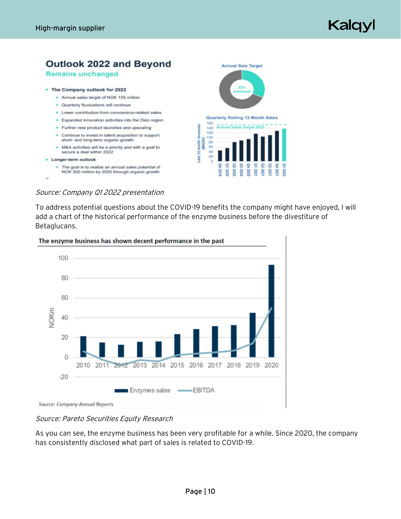## Kalqyl



#### Source: Company Q1 2022 presentation

To address potential questions about the COVID-19 benefits the company might have enjoyed, I will add a chart of the historical performance of the enzyme business before the divestiture of Betaglucans.

202<br>202

202



### Source: Pareto Securities Equity Research

As you can see, the enzyme business has been very profitable for a while. Since 2020, the company has consistently disclosed what part of sales is related to COVID-19.

## Page | 10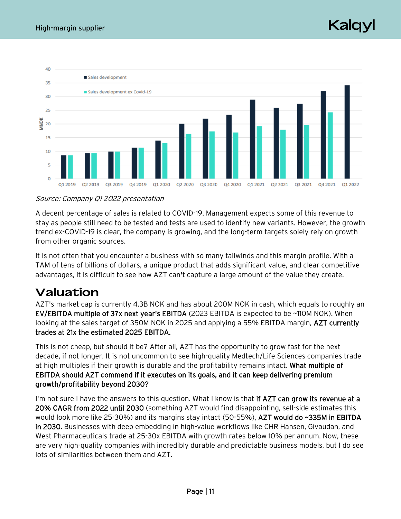Kaldy



### Source: Company Q1 2022 presentation

A decent percentage of sales is related to COVID-19. Management expects some of this revenue to stay as people still need to be tested and tests are used to identify new variants. However, the growth trend ex-COVID-19 is clear, the company is growing, and the long-term targets solely rely on growth from other organic sources.

It is not often that you encounter a business with so many tailwinds and this margin profile. With a TAM of tens of billions of dollars, a unique product that adds significant value, and clear competitive advantages, it is difficult to see how AZT can't capture a large amount of the value they create.

## Valuation

AZT's market cap is currently 4.3B NOK and has about 200M NOK in cash, which equals to roughly an EV/EBITDA multiple of 37x next year's EBITDA (2023 EBITDA is expected to be ~110M NOK). When looking at the sales target of 350M NOK in 2025 and applying a 55% EBITDA margin, AZT currently trades at 21x the estimated 2025 EBITDA.

This is not cheap, but should it be? After all, AZT has the opportunity to grow fast for the next decade, if not longer. It is not uncommon to see high-quality Medtech/Life Sciences companies trade at high multiples if their growth is durable and the profitability remains intact. What multiple of EBITDA should AZT commend if it executes on its goals, and it can keep delivering premium growth/profitability beyond 2030?

I'm not sure I have the answers to this question. What I know is that if AZT can grow its revenue at a 20% CAGR from 2022 until 2030 (something AZT would find disappointing, sell-side estimates this would look more like 25-30%) and its margins stay intact (50-55%), AZT would do ~335M in EBITDA in 2030. Businesses with deep embedding in high-value workflows like CHR Hansen, Givaudan, and West Pharmaceuticals trade at 25-30x EBITDA with growth rates below 10% per annum. Now, these are very high-quality companies with incredibly durable and predictable business models, but I do see lots of similarities between them and AZT.